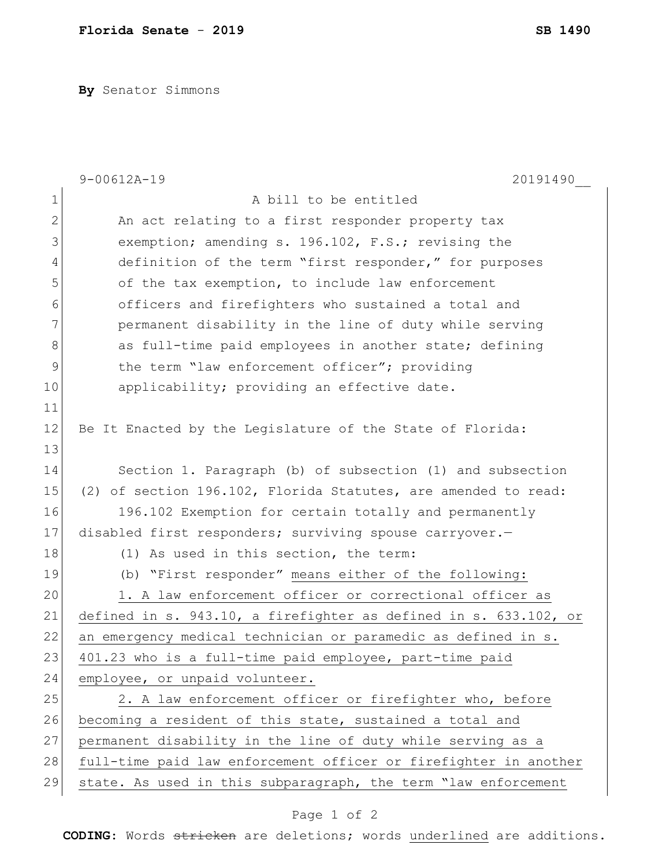**By** Senator Simmons

|                | $9 - 00612A - 19$<br>20191490                                    |
|----------------|------------------------------------------------------------------|
| $\mathbf 1$    | A bill to be entitled                                            |
| $\overline{2}$ | An act relating to a first responder property tax                |
| 3              | exemption; amending s. 196.102, F.S.; revising the               |
| 4              | definition of the term "first responder," for purposes           |
| 5              | of the tax exemption, to include law enforcement                 |
| 6              | officers and firefighters who sustained a total and              |
| 7              | permanent disability in the line of duty while serving           |
| 8              | as full-time paid employees in another state; defining           |
| 9              | the term "law enforcement officer"; providing                    |
| 10             | applicability; providing an effective date.                      |
| 11             |                                                                  |
| 12             | Be It Enacted by the Legislature of the State of Florida:        |
| 13             |                                                                  |
| 14             | Section 1. Paragraph (b) of subsection (1) and subsection        |
| 15             | (2) of section 196.102, Florida Statutes, are amended to read:   |
| 16             | 196.102 Exemption for certain totally and permanently            |
| 17             | disabled first responders; surviving spouse carryover.-          |
| 18             | (1) As used in this section, the term:                           |
| 19             | (b) "First responder" means either of the following:             |
| 20             | 1. A law enforcement officer or correctional officer as          |
| 21             | defined in s. 943.10, a firefighter as defined in s. 633.102, or |
| 22             | an emergency medical technician or paramedic as defined in s.    |
| 23             | 401.23 who is a full-time paid employee, part-time paid          |
| 24             | employee, or unpaid volunteer.                                   |
| 25             | 2. A law enforcement officer or firefighter who, before          |
| 26             | becoming a resident of this state, sustained a total and         |
| 27             | permanent disability in the line of duty while serving as a      |
| 28             | full-time paid law enforcement officer or firefighter in another |
| 29             | state. As used in this subparagraph, the term "law enforcement   |

## Page 1 of 2

**CODING**: Words stricken are deletions; words underlined are additions.